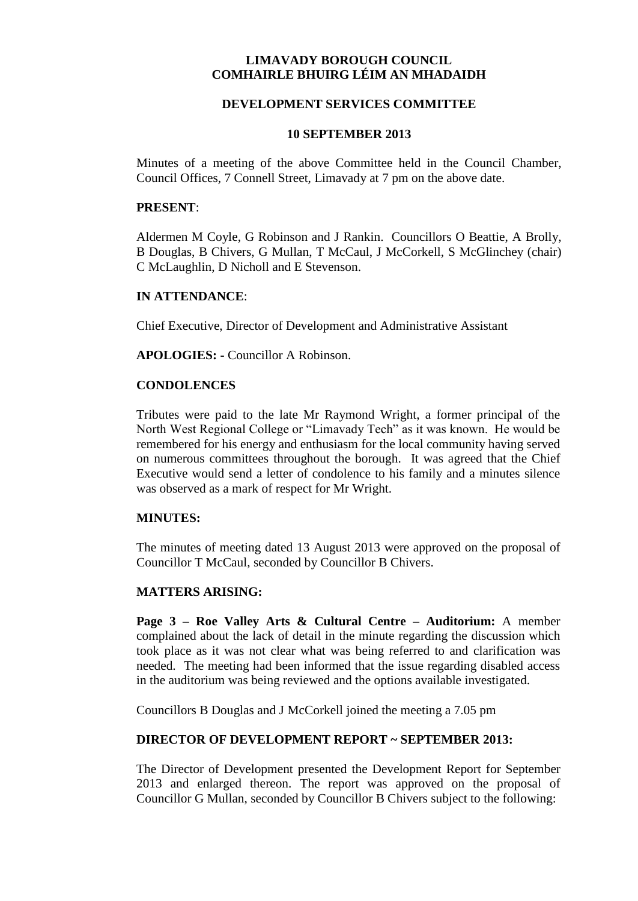# **LIMAVADY BOROUGH COUNCIL COMHAIRLE BHUIRG LÉIM AN MHADAIDH**

## **DEVELOPMENT SERVICES COMMITTEE**

### **10 SEPTEMBER 2013**

Minutes of a meeting of the above Committee held in the Council Chamber, Council Offices, 7 Connell Street, Limavady at 7 pm on the above date.

### **PRESENT**:

Aldermen M Coyle, G Robinson and J Rankin. Councillors O Beattie, A Brolly, B Douglas, B Chivers, G Mullan, T McCaul, J McCorkell, S McGlinchey (chair) C McLaughlin, D Nicholl and E Stevenson.

#### **IN ATTENDANCE**:

Chief Executive, Director of Development and Administrative Assistant

**APOLOGIES: -** Councillor A Robinson.

#### **CONDOLENCES**

Tributes were paid to the late Mr Raymond Wright, a former principal of the North West Regional College or "Limavady Tech" as it was known. He would be remembered for his energy and enthusiasm for the local community having served on numerous committees throughout the borough. It was agreed that the Chief Executive would send a letter of condolence to his family and a minutes silence was observed as a mark of respect for Mr Wright.

#### **MINUTES:**

The minutes of meeting dated 13 August 2013 were approved on the proposal of Councillor T McCaul, seconded by Councillor B Chivers.

### **MATTERS ARISING:**

**Page 3 – Roe Valley Arts & Cultural Centre – Auditorium:** A member complained about the lack of detail in the minute regarding the discussion which took place as it was not clear what was being referred to and clarification was needed. The meeting had been informed that the issue regarding disabled access in the auditorium was being reviewed and the options available investigated.

Councillors B Douglas and J McCorkell joined the meeting a 7.05 pm

## **DIRECTOR OF DEVELOPMENT REPORT ~ SEPTEMBER 2013:**

The Director of Development presented the Development Report for September 2013 and enlarged thereon. The report was approved on the proposal of Councillor G Mullan, seconded by Councillor B Chivers subject to the following: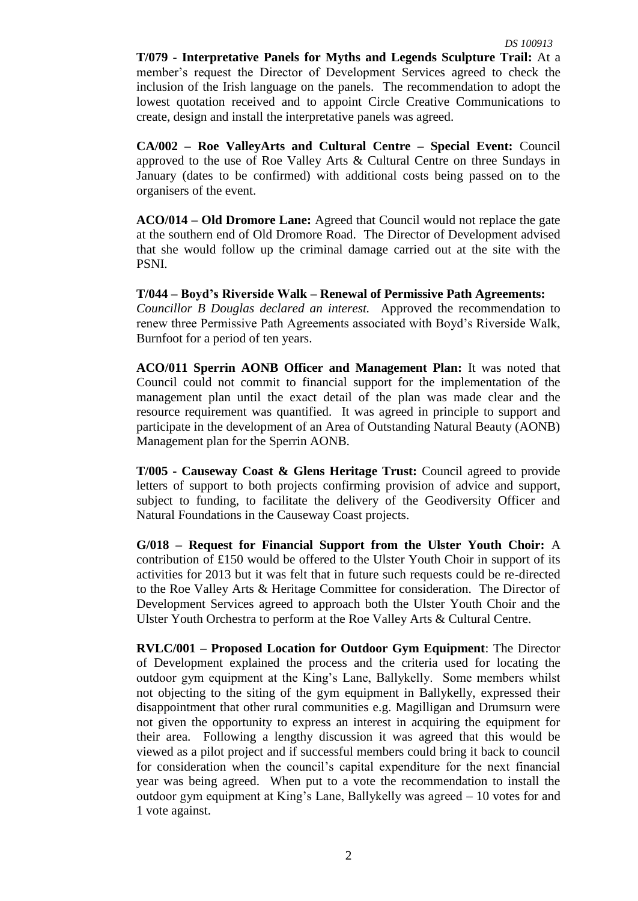**T/079 - Interpretative Panels for Myths and Legends Sculpture Trail:** At a member's request the Director of Development Services agreed to check the inclusion of the Irish language on the panels. The recommendation to adopt the lowest quotation received and to appoint Circle Creative Communications to create, design and install the interpretative panels was agreed.

**CA/002 – Roe ValleyArts and Cultural Centre – Special Event:** Council approved to the use of Roe Valley Arts & Cultural Centre on three Sundays in January (dates to be confirmed) with additional costs being passed on to the organisers of the event.

**ACO/014 – Old Dromore Lane:** Agreed that Council would not replace the gate at the southern end of Old Dromore Road. The Director of Development advised that she would follow up the criminal damage carried out at the site with the PSNI.

**T/044 – Boyd's Riverside Walk – Renewal of Permissive Path Agreements:** *Councillor B Douglas declared an interest.* Approved the recommendation to renew three Permissive Path Agreements associated with Boyd's Riverside Walk, Burnfoot for a period of ten years.

**ACO/011 Sperrin AONB Officer and Management Plan:** It was noted that Council could not commit to financial support for the implementation of the management plan until the exact detail of the plan was made clear and the resource requirement was quantified. It was agreed in principle to support and participate in the development of an Area of Outstanding Natural Beauty (AONB) Management plan for the Sperrin AONB.

**T/005 - Causeway Coast & Glens Heritage Trust:** Council agreed to provide letters of support to both projects confirming provision of advice and support, subject to funding, to facilitate the delivery of the Geodiversity Officer and Natural Foundations in the Causeway Coast projects.

**G/018 – Request for Financial Support from the Ulster Youth Choir:** A contribution of £150 would be offered to the Ulster Youth Choir in support of its activities for 2013 but it was felt that in future such requests could be re-directed to the Roe Valley Arts & Heritage Committee for consideration. The Director of Development Services agreed to approach both the Ulster Youth Choir and the Ulster Youth Orchestra to perform at the Roe Valley Arts & Cultural Centre.

**RVLC/001 – Proposed Location for Outdoor Gym Equipment**: The Director of Development explained the process and the criteria used for locating the outdoor gym equipment at the King's Lane, Ballykelly. Some members whilst not objecting to the siting of the gym equipment in Ballykelly, expressed their disappointment that other rural communities e.g. Magilligan and Drumsurn were not given the opportunity to express an interest in acquiring the equipment for their area. Following a lengthy discussion it was agreed that this would be viewed as a pilot project and if successful members could bring it back to council for consideration when the council's capital expenditure for the next financial year was being agreed. When put to a vote the recommendation to install the outdoor gym equipment at King's Lane, Ballykelly was agreed – 10 votes for and 1 vote against.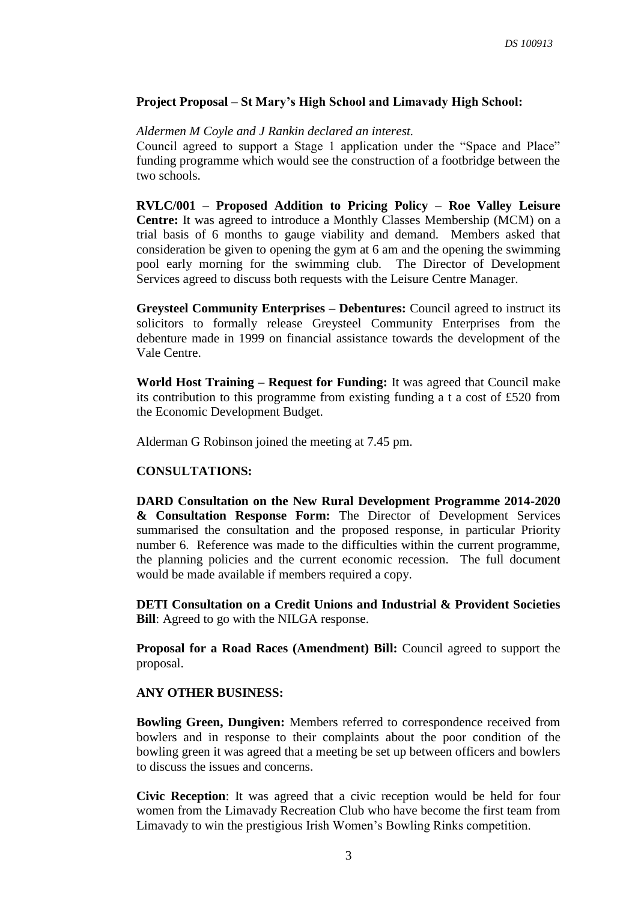## **Project Proposal – St Mary's High School and Limavady High School:**

### *Aldermen M Coyle and J Rankin declared an interest.*

Council agreed to support a Stage 1 application under the "Space and Place" funding programme which would see the construction of a footbridge between the two schools.

**RVLC/001 – Proposed Addition to Pricing Policy – Roe Valley Leisure Centre:** It was agreed to introduce a Monthly Classes Membership (MCM) on a trial basis of 6 months to gauge viability and demand. Members asked that consideration be given to opening the gym at 6 am and the opening the swimming pool early morning for the swimming club. The Director of Development Services agreed to discuss both requests with the Leisure Centre Manager.

**Greysteel Community Enterprises – Debentures:** Council agreed to instruct its solicitors to formally release Greysteel Community Enterprises from the debenture made in 1999 on financial assistance towards the development of the Vale Centre.

**World Host Training – Request for Funding:** It was agreed that Council make its contribution to this programme from existing funding a t a cost of £520 from the Economic Development Budget.

Alderman G Robinson joined the meeting at 7.45 pm.

## **CONSULTATIONS:**

**DARD Consultation on the New Rural Development Programme 2014-2020 & Consultation Response Form:** The Director of Development Services summarised the consultation and the proposed response, in particular Priority number 6. Reference was made to the difficulties within the current programme, the planning policies and the current economic recession. The full document would be made available if members required a copy.

**DETI Consultation on a Credit Unions and Industrial & Provident Societies Bill**: Agreed to go with the NILGA response.

**Proposal for a Road Races (Amendment) Bill:** Council agreed to support the proposal.

## **ANY OTHER BUSINESS:**

**Bowling Green, Dungiven:** Members referred to correspondence received from bowlers and in response to their complaints about the poor condition of the bowling green it was agreed that a meeting be set up between officers and bowlers to discuss the issues and concerns.

**Civic Reception**: It was agreed that a civic reception would be held for four women from the Limavady Recreation Club who have become the first team from Limavady to win the prestigious Irish Women's Bowling Rinks competition.